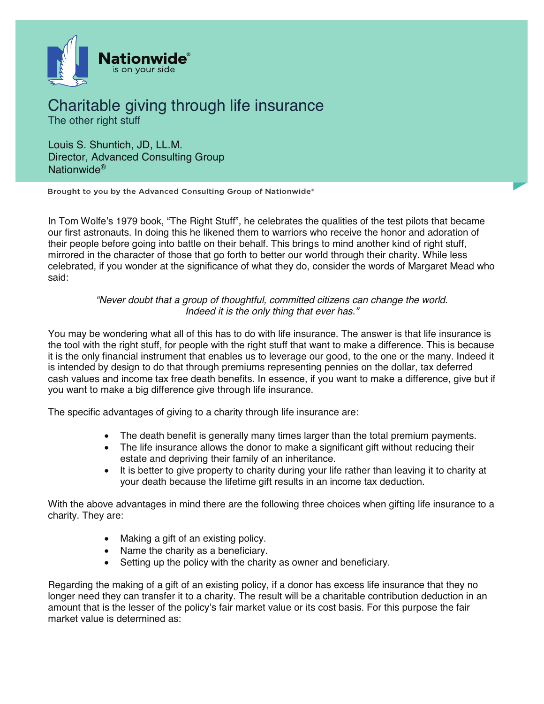

## Charitable giving through life insurance The other right stuff

Louis S. Shuntich, JD, LL.M. Director, Advanced Consulting Group Nationwide®

Brought to you by the Advanced Consulting Group of Nationwide®

In Tom Wolfe's 1979 book, "The Right Stuff", he celebrates the qualities of the test pilots that became our first astronauts. In doing this he likened them to warriors who receive the honor and adoration of their people before going into battle on their behalf. This brings to mind another kind of right stuff, mirrored in the character of those that go forth to better our world through their charity. While less celebrated, if you wonder at the significance of what they do, consider the words of Margaret Mead who said:

> *"Never doubt that a group of thoughtful, committed citizens can change the world. Indeed it is the only thing that ever has."*

You may be wondering what all of this has to do with life insurance. The answer is that life insurance is the tool with the right stuff, for people with the right stuff that want to make a difference. This is because it is the only financial instrument that enables us to leverage our good, to the one or the many. Indeed it is intended by design to do that through premiums representing pennies on the dollar, tax deferred cash values and income tax free death benefits. In essence, if you want to make a difference, give but if you want to make a big difference give through life insurance.

The specific advantages of giving to a charity through life insurance are:

- The death benefit is generally many times larger than the total premium payments.
- The life insurance allows the donor to make a significant gift without reducing their estate and depriving their family of an inheritance.
- It is better to give property to charity during your life rather than leaving it to charity at your death because the lifetime gift results in an income tax deduction.

With the above advantages in mind there are the following three choices when gifting life insurance to a charity. They are:

- Making a gift of an existing policy.
- Name the charity as a beneficiary.
- Setting up the policy with the charity as owner and beneficiary.

Regarding the making of a gift of an existing policy, if a donor has excess life insurance that they no longer need they can transfer it to a charity. The result will be a charitable contribution deduction in an amount that is the lesser of the policy's fair market value or its cost basis. For this purpose the fair market value is determined as: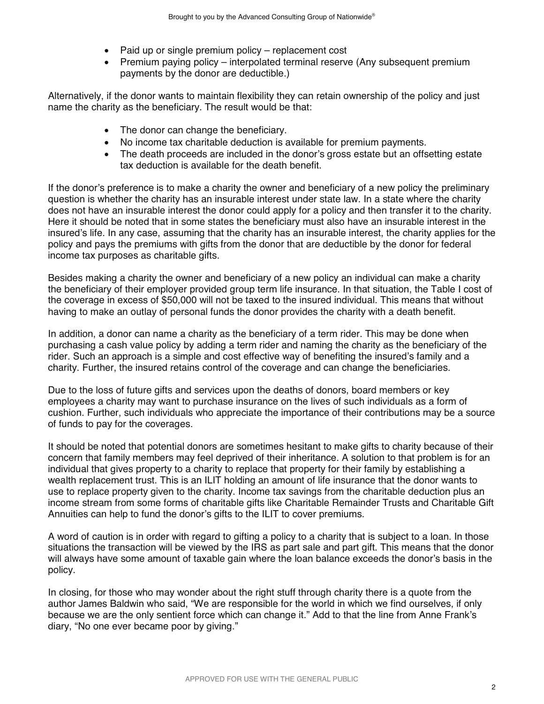- Paid up or single premium policy replacement cost
- Premium paying policy interpolated terminal reserve (Any subsequent premium payments by the donor are deductible.)

Alternatively, if the donor wants to maintain flexibility they can retain ownership of the policy and just name the charity as the beneficiary. The result would be that:

- The donor can change the beneficiary.
- No income tax charitable deduction is available for premium payments.
- The death proceeds are included in the donor's gross estate but an offsetting estate tax deduction is available for the death benefit.

If the donor's preference is to make a charity the owner and beneficiary of a new policy the preliminary question is whether the charity has an insurable interest under state law. In a state where the charity does not have an insurable interest the donor could apply for a policy and then transfer it to the charity. Here it should be noted that in some states the beneficiary must also have an insurable interest in the insured's life. In any case, assuming that the charity has an insurable interest, the charity applies for the policy and pays the premiums with gifts from the donor that are deductible by the donor for federal income tax purposes as charitable gifts.

Besides making a charity the owner and beneficiary of a new policy an individual can make a charity the beneficiary of their employer provided group term life insurance. In that situation, the Table I cost of the coverage in excess of \$50,000 will not be taxed to the insured individual. This means that without having to make an outlay of personal funds the donor provides the charity with a death benefit.

In addition, a donor can name a charity as the beneficiary of a term rider. This may be done when purchasing a cash value policy by adding a term rider and naming the charity as the beneficiary of the rider. Such an approach is a simple and cost effective way of benefiting the insured's family and a charity. Further, the insured retains control of the coverage and can change the beneficiaries.

Due to the loss of future gifts and services upon the deaths of donors, board members or key employees a charity may want to purchase insurance on the lives of such individuals as a form of cushion. Further, such individuals who appreciate the importance of their contributions may be a source of funds to pay for the coverages.

It should be noted that potential donors are sometimes hesitant to make gifts to charity because of their concern that family members may feel deprived of their inheritance. A solution to that problem is for an individual that gives property to a charity to replace that property for their family by establishing a wealth replacement trust. This is an ILIT holding an amount of life insurance that the donor wants to use to replace property given to the charity. Income tax savings from the charitable deduction plus an income stream from some forms of charitable gifts like Charitable Remainder Trusts and Charitable Gift Annuities can help to fund the donor's gifts to the ILIT to cover premiums.

A word of caution is in order with regard to gifting a policy to a charity that is subject to a loan. In those situations the transaction will be viewed by the IRS as part sale and part gift. This means that the donor will always have some amount of taxable gain where the loan balance exceeds the donor's basis in the policy.

In closing, for those who may wonder about the right stuff through charity there is a quote from the author James Baldwin who said, "We are responsible for the world in which we find ourselves, if only because we are the only sentient force which can change it." Add to that the line from Anne Frank's diary, "No one ever became poor by giving."